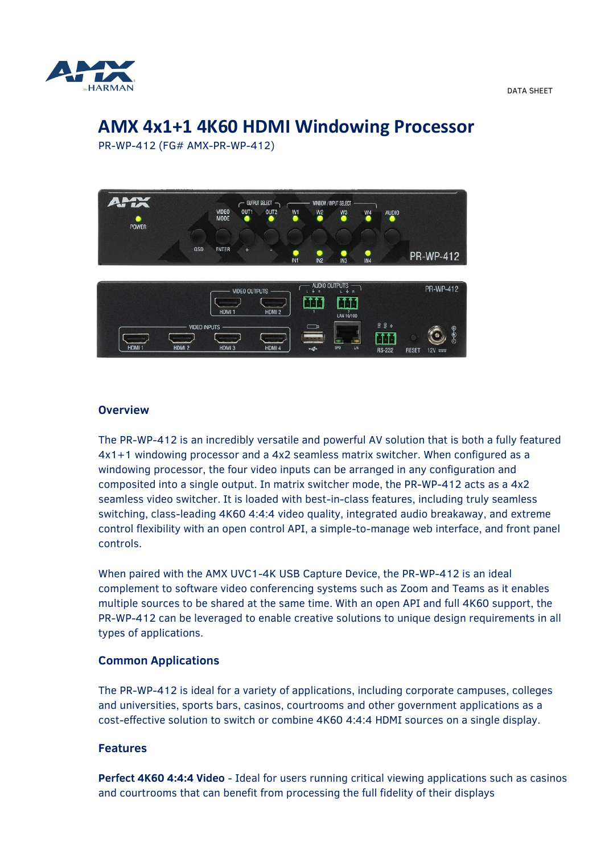

DATA SHEET

# **AMX 4x1+1 4K60 HDMI Windowing Processor**

PR-WP-412 (FG# AMX-PR-WP-412)



#### **Overview**

The PR-WP-412 is an incredibly versatile and powerful AV solution that is both a fully featured 4x1+1 windowing processor and a 4x2 seamless matrix switcher. When configured as a windowing processor, the four video inputs can be arranged in any configuration and composited into a single output. In matrix switcher mode, the PR-WP-412 acts as a 4x2 seamless video switcher. It is loaded with best-in-class features, including truly seamless switching, class-leading 4K60 4:4:4 video quality, integrated audio breakaway, and extreme control flexibility with an open control API, a simple-to-manage web interface, and front panel controls.

When paired with the AMX UVC1-4K USB Capture Device, the PR-WP-412 is an ideal complement to software video conferencing systems such as Zoom and Teams as it enables multiple sources to be shared at the same time. With an open API and full 4K60 support, the PR-WP-412 can be leveraged to enable creative solutions to unique design requirements in all types of applications.

## **Common Applications**

The PR-WP-412 is ideal for a variety of applications, including corporate campuses, colleges and universities, sports bars, casinos, courtrooms and other government applications as a cost-effective solution to switch or combine 4K60 4:4:4 HDMI sources on a single display.

#### **Features**

**Perfect 4K60 4:4:4 Video** - Ideal for users running critical viewing applications such as casinos and courtrooms that can benefit from processing the full fidelity of their displays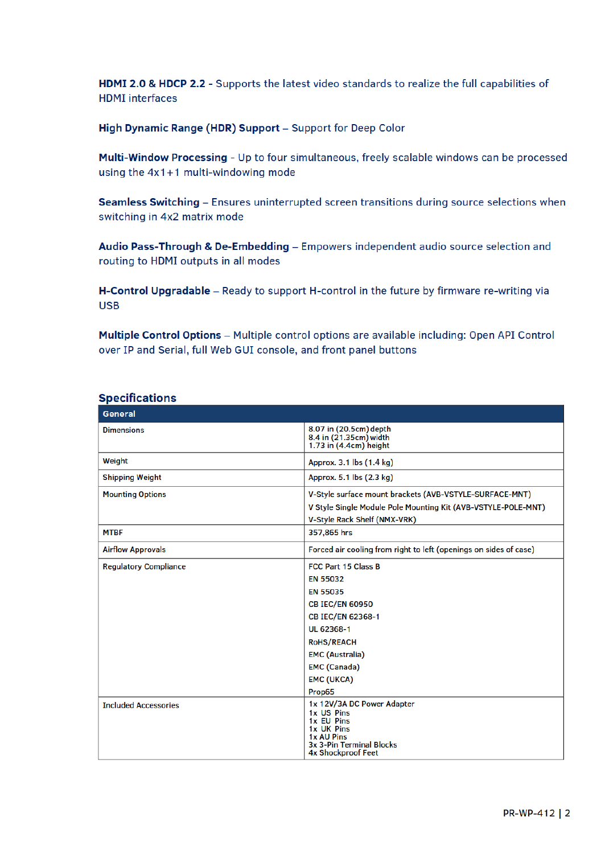HDMI 2.0 & HDCP 2.2 - Supports the latest video standards to realize the full capabilities of **HDMI** interfaces

High Dynamic Range (HDR) Support - Support for Deep Color

Multi-Window Processing - Up to four simultaneous, freely scalable windows can be processed using the  $4x1+1$  multi-windowing mode

Seamless Switching - Ensures uninterrupted screen transitions during source selections when switching in 4x2 matrix mode

Audio Pass-Through & De-Embedding - Empowers independent audio source selection and routing to HDMI outputs in all modes

H-Control Upgradable - Ready to support H-control in the future by firmware re-writing via **USB** 

Multiple Control Options - Multiple control options are available including: Open API Control over IP and Serial, full Web GUI console, and front panel buttons

| General                      |                                                                                                                                                                                                                                    |
|------------------------------|------------------------------------------------------------------------------------------------------------------------------------------------------------------------------------------------------------------------------------|
| <b>Dimensions</b>            | 8.07 in (20.5cm) depth<br>8.4 in (21.35cm) width<br>1.73 in $(4.4cm)$ height                                                                                                                                                       |
| Weight                       | Approx. 3.1 lbs (1.4 kg)                                                                                                                                                                                                           |
| <b>Shipping Weight</b>       | Approx. 5.1 lbs (2.3 kg)                                                                                                                                                                                                           |
| <b>Mounting Options</b>      | V-Style surface mount brackets (AVB-VSTYLE-SURFACE-MNT)<br>V Style Single Module Pole Mounting Kit (AVB-VSTYLE-POLE-MNT)<br><b>V-Style Rack Shelf (NMX-VRK)</b>                                                                    |
| <b>MTBF</b>                  | 357,865 hrs                                                                                                                                                                                                                        |
| <b>Airflow Approvals</b>     | Forced air cooling from right to left (openings on sides of case)                                                                                                                                                                  |
| <b>Regulatory Compliance</b> | <b>FCC Part 15 Class B</b><br><b>EN 55032</b><br>EN 55035<br><b>CB IEC/EN 60950</b><br><b>CB IEC/EN 62368-1</b><br>UL 62368-1<br><b>RoHS/REACH</b><br><b>EMC (Australia)</b><br><b>EMC (Canada)</b><br><b>EMC (UKCA)</b><br>Prop65 |
| <b>Included Accessories</b>  | 1x 12V/3A DC Power Adapter<br>1x US Pins<br>1x EU Pins<br>1x UK Pins<br>1x AU Pins<br>3x 3-Pin Terminal Blocks<br><b>4x Shockproof Feet</b>                                                                                        |

## **Specifications**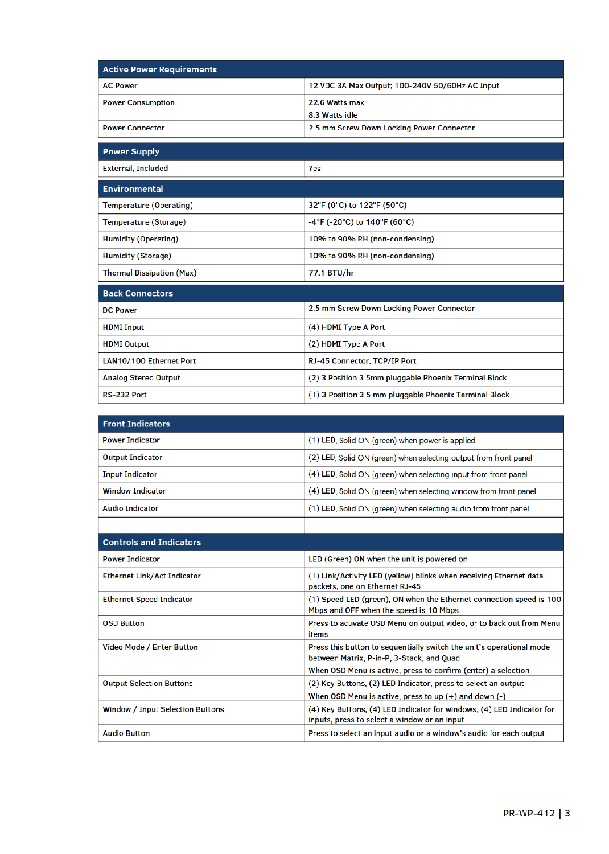| <b>Active Power Requirements</b> |                                                        |  |
|----------------------------------|--------------------------------------------------------|--|
| <b>AC Power</b>                  | 12 VDC 3A Max Output; 100-240V 50/60Hz AC Input        |  |
| <b>Power Consumption</b>         | 22.6 Watts max                                         |  |
|                                  | 8.3 Watts idle                                         |  |
| <b>Power Connector</b>           | 2.5 mm Screw Down Locking Power Connector              |  |
| <b>Power Supply</b>              |                                                        |  |
| <b>External, Included</b>        | Yes                                                    |  |
| <b>Environmental</b>             |                                                        |  |
| <b>Temperature (Operating)</b>   | 32°F (0°C) to 122°F (50°C)                             |  |
| <b>Temperature (Storage)</b>     | -4°F (-20°C) to 140°F (60°C)                           |  |
| <b>Humidity (Operating)</b>      | 10% to 90% RH (non-condensing)                         |  |
| <b>Humidity (Storage)</b>        | 10% to 90% RH (non-condensing)                         |  |
| <b>Thermal Dissipation (Max)</b> | 77.1 BTU/hr                                            |  |
| <b>Back Connectors</b>           |                                                        |  |
| <b>DC Power</b>                  | 2.5 mm Screw Down Locking Power Connector              |  |
| <b>HDMI</b> Input                | (4) HDMI Type A Port                                   |  |
| <b>HDMI Output</b>               | (2) HDMI Type A Port                                   |  |
| LAN10/100 Ethernet Port          | RJ-45 Connector, TCP/IP Port                           |  |
| <b>Analog Stereo Output</b>      | (2) 3 Position 3.5mm pluggable Phoenix Terminal Block  |  |
| RS-232 Port                      | (1) 3 Position 3.5 mm pluggable Phoenix Terminal Block |  |

| <b>Front Indicators</b>                 |                                                                                                                       |
|-----------------------------------------|-----------------------------------------------------------------------------------------------------------------------|
| <b>Power Indicator</b>                  | (1) LED, Solid ON (green) when power is applied                                                                       |
| <b>Output Indicator</b>                 | (2) LED, Solid ON (green) when selecting output from front panel                                                      |
| <b>Input Indicator</b>                  | (4) LED, Solid ON (green) when selecting input from front panel                                                       |
| <b>Window Indicator</b>                 | (4) LED, Solid ON (green) when selecting window from front panel                                                      |
| <b>Audio Indicator</b>                  | (1) LED, Solid ON (green) when selecting audio from front panel                                                       |
|                                         |                                                                                                                       |
| <b>Controls and Indicators</b>          |                                                                                                                       |
| <b>Power Indicator</b>                  | LED (Green) ON when the unit is powered on                                                                            |
| <b>Ethernet Link/Act Indicator</b>      | (1) Link/Activity LED (yellow) blinks when receiving Ethernet data<br>packets, one on Ethernet RJ-45                  |
| <b>Ethernet Speed Indicator</b>         | (1) Speed LED (green), ON when the Ethernet connection speed is 100<br>Mbps and OFF when the speed is 10 Mbps         |
| <b>OSD Button</b>                       | Press to activate OSD Menu on output video, or to back out from Menu<br>items                                         |
| <b>Video Mode / Enter Button</b>        | Press this button to sequentially switch the unit's operational mode<br>between Matrix, P-in-P, 3-Stack, and Quad     |
|                                         | When OSD Menu is active, press to confirm (enter) a selection                                                         |
| <b>Output Selection Buttons</b>         | (2) Key Buttons, (2) LED Indicator, press to select an output                                                         |
|                                         | When OSD Menu is active, press to up $(+)$ and down $(-)$                                                             |
| <b>Window / Input Selection Buttons</b> | (4) Key Buttons, (4) LED Indicator for windows, (4) LED Indicator for<br>inputs, press to select a window or an input |
| <b>Audio Button</b>                     | Press to select an input audio or a window's audio for each output                                                    |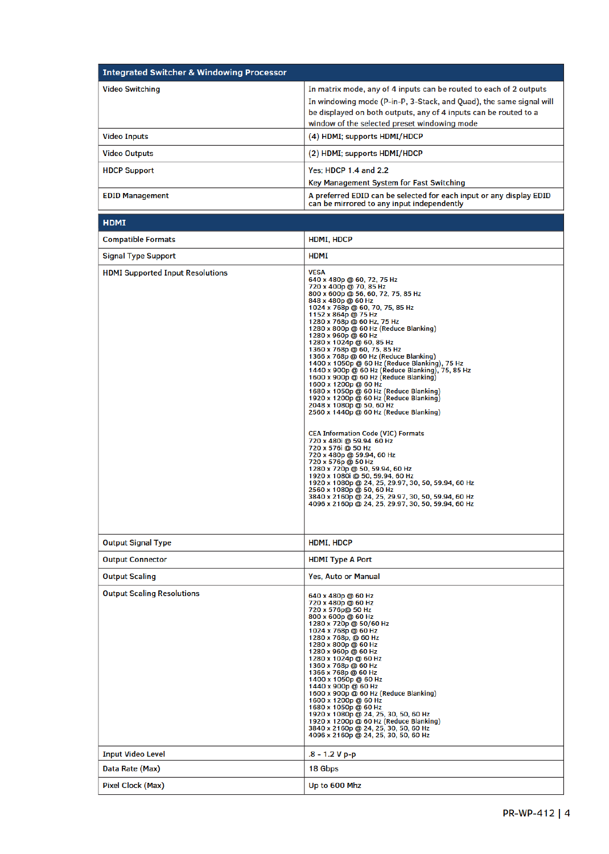| <b>Integrated Switcher &amp; Windowing Processor</b> |                                                                                                                                                                                                                                                               |
|------------------------------------------------------|---------------------------------------------------------------------------------------------------------------------------------------------------------------------------------------------------------------------------------------------------------------|
| <b>Video Switching</b>                               | In matrix mode, any of 4 inputs can be routed to each of 2 outputs<br>In windowing mode (P-in-P, 3-Stack, and Quad), the same signal will<br>be displayed on both outputs, any of 4 inputs can be routed to a<br>window of the selected preset windowing mode |
| <b>Video Inputs</b>                                  | (4) HDMI; supports HDMI/HDCP                                                                                                                                                                                                                                  |
| <b>Video Outputs</b>                                 | (2) HDMI; supports HDMI/HDCP                                                                                                                                                                                                                                  |
| <b>HDCP Support</b>                                  | Yes: HDCP 1.4 and 2.2<br>Key Management System for Fast Switching                                                                                                                                                                                             |
| <b>EDID Management</b>                               | A preferred EDID can be selected for each input or any display EDID<br>can be mirrored to any input independently                                                                                                                                             |

| <b>HDMI</b>                             |                                                                                                                                                                                                                                                                                                                                                                                                                                                                                                                                                                                                                                                                                                                                                                                                                                                                                                                                                                                                                                                                                                                                                  |
|-----------------------------------------|--------------------------------------------------------------------------------------------------------------------------------------------------------------------------------------------------------------------------------------------------------------------------------------------------------------------------------------------------------------------------------------------------------------------------------------------------------------------------------------------------------------------------------------------------------------------------------------------------------------------------------------------------------------------------------------------------------------------------------------------------------------------------------------------------------------------------------------------------------------------------------------------------------------------------------------------------------------------------------------------------------------------------------------------------------------------------------------------------------------------------------------------------|
| <b>Compatible Formats</b>               | HDMI, HDCP                                                                                                                                                                                                                                                                                                                                                                                                                                                                                                                                                                                                                                                                                                                                                                                                                                                                                                                                                                                                                                                                                                                                       |
| <b>Signal Type Support</b>              | <b>HDMI</b>                                                                                                                                                                                                                                                                                                                                                                                                                                                                                                                                                                                                                                                                                                                                                                                                                                                                                                                                                                                                                                                                                                                                      |
| <b>HDMI Supported Input Resolutions</b> | <b>VESA</b><br>640 x 480p @ 60, 72, 75 Hz<br>720 x 400p @ 70, 85 Hz<br>800 x 600p @ 56, 60, 72, 75, 85 Hz<br>848 x 480p @ 60 Hz<br>1024 x 768p @ 60, 70, 75, 85 Hz<br>1152 x 864p @ 75 Hz<br>1280 x 768p @ 60 Hz, 75 Hz<br>1280 x 800p @ 60 Hz (Reduce Blanking)<br>1280 x 960p @ 60 Hz<br>1280 x 1024p @ 60, 85 Hz<br>1360 x 768p @ 60, 75, 85 Hz<br>1366 x 768p @ 60 Hz (Reduce Blanking)<br>1400 x 1050p @ 60 Hz (Reduce Blanking), 75 Hz<br>1440 x 900p @ 60 Hz (Reduce Blanking), 75, 85 Hz<br>1600 x 900p @ 60 Hz (Reduce Blanking)<br>1600 x 1200p @ 60 Hz<br>1680 x 1050p @ 60 Hz (Reduce Blanking)<br>1920 x 1200p @ 60 Hz (Reduce Blanking)<br>2048 x 1080p @ 50, 60 Hz<br>2560 x 1440p @ 60 Hz (Reduce Blanking)<br><b>CEA Information Code (VIC) Formats</b><br>720 x 480i @ 59.94 60 Hz<br>720 x 576i @ 50 Hz<br>720 x 480p @ 59.94, 60 Hz<br>720 x 576p @ 50 Hz<br>1280 x 720p @ 50, 59.94, 60 Hz<br>1920 x 1080i @ 50, 59.94, 60 Hz<br>1920 x 1080p @ 24, 25, 29.97, 30, 50, 59.94, 60 Hz<br>2560 x 1080p @ 50, 60 Hz<br>3840 x 2160p @ 24, 25, 29.97, 30, 50, 59.94, 60 Hz<br>4096 x 2160p @ 24, 25, 29.97, 30, 50, 59.94, 60 Hz |
| <b>Output Signal Type</b>               | HDMI, HDCP                                                                                                                                                                                                                                                                                                                                                                                                                                                                                                                                                                                                                                                                                                                                                                                                                                                                                                                                                                                                                                                                                                                                       |
| <b>Output Connector</b>                 | <b>HDMI Type A Port</b>                                                                                                                                                                                                                                                                                                                                                                                                                                                                                                                                                                                                                                                                                                                                                                                                                                                                                                                                                                                                                                                                                                                          |
| <b>Output Scaling</b>                   | <b>Yes, Auto or Manual</b>                                                                                                                                                                                                                                                                                                                                                                                                                                                                                                                                                                                                                                                                                                                                                                                                                                                                                                                                                                                                                                                                                                                       |
| <b>Output Scaling Resolutions</b>       | 640 x 480p @ 60 Hz<br>720 x 480p @ 60 Hz<br>720 x 576p@ 50 Hz<br>800 x 600p @ 60 Hz<br>1280 x 720p @ 50/60 Hz<br>1024 x 768p @ 60 Hz<br>1280 x 768p, @ 60 Hz<br>1280 x 800p @ 60 Hz<br>1280 x 960p @ 60 Hz<br>1280 x 1024p @ 60 Hz<br>1360 x 768p @ 60 Hz<br>1366 x 768p @ 60 Hz<br>1400 x 1050p @ 60 Hz<br>1440 x 900p @ 60 Hz<br>1600 x 900p @ 60 Hz (Reduce Blanking)<br>1600 x 1200p @ 60 Hz<br>1680 x 1050p @ 60 Hz<br>1920 x 1080p @ 24, 25, 30, 50, 60 Hz<br>1920 x 1200p @ 60 Hz (Reduce Blanking)<br>3840 x 2160p @ 24, 25, 30, 50, 60 Hz<br>4096 x 2160p @ 24, 25, 30, 50, 60 Hz                                                                                                                                                                                                                                                                                                                                                                                                                                                                                                                                                       |
| <b>Input Video Level</b>                | $.8 - 1.2 V p-p$                                                                                                                                                                                                                                                                                                                                                                                                                                                                                                                                                                                                                                                                                                                                                                                                                                                                                                                                                                                                                                                                                                                                 |
| Data Rate (Max)                         | 18 Gbps                                                                                                                                                                                                                                                                                                                                                                                                                                                                                                                                                                                                                                                                                                                                                                                                                                                                                                                                                                                                                                                                                                                                          |
| Pixel Clock (Max)                       | Up to 600 Mhz                                                                                                                                                                                                                                                                                                                                                                                                                                                                                                                                                                                                                                                                                                                                                                                                                                                                                                                                                                                                                                                                                                                                    |